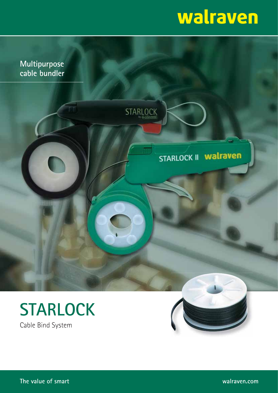# walraven







**The value of smart walraven.com**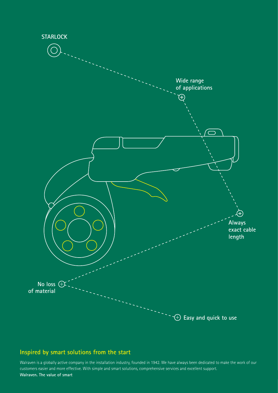

### **Inspired by smart solutions from the start**

Walraven is a globally active company in the installation industry, founded in 1942. We have always been dedicated to make the work of our customers easier and more effective. With simple and smart solutions, comprehensive services and excellent support. **Walraven. The value of smart**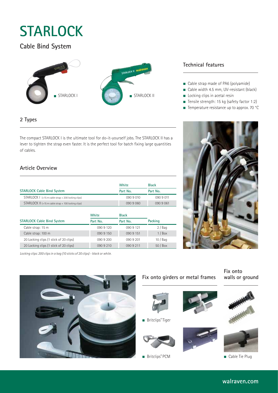## **STARLOCK**

### **Cable Bind System**



#### **2 Types**

The compact STARLOCK I is the ultimate tool for do-it-yourself jobs. The STARLOCK II has a lever to tighten the strap even faster. It is the perfect tool for batch fixing large quantities of cables.

#### **Article Overview**

|                                                        | White     | <b>Black</b> |
|--------------------------------------------------------|-----------|--------------|
| <b>STARLOCK Cable Bind System</b>                      | Part No.  | Part No.     |
| $STARLOCK$   $(+15$ m cable strap + 200 locking clips) | 090 9 010 | 090 9 011    |
| STARLOCK II (+15 m cable strap + 100 locking clips)    | 090 9 060 | 090 9 061    |

|                                        | White     | <b>Black</b> |          |
|----------------------------------------|-----------|--------------|----------|
| <b>STARLOCK Cable Bind System</b>      | Part No.  | Part No.     | Packing  |
| Cable strap: 15 m                      | 090 9 120 | 090 9 121    | $2/$ Bag |
| Cable strap: 100 m                     | 090 9 150 | 090 9 151    | 1/Box    |
| 20 Locking clips (1 stick of 20 clips) | 090 9 200 | 090 9 201    | 10/Baq   |
| 20 Locking clips (1 stick of 20 clips) | 0909210   | 0909211      | 50 / Box |

Locking clips: 200 clips in a bag (10 sticks of 20 clips) - black or white.



#### **Technical features**

- Cable strap made of PA6 (polyamide)
- Cable width 4.5 mm, UV-resistant (black)
- Locking clips in acetal resin
- Tensile strength: 15 kg (safety factor 1:2)
- Temperature resistance up to approx. 70 °C



#### **Fix onto girders or metal frames**

■ Britclips® Tiger

■ Britclips® PCM

**Fix onto walls or ground**





■ Cable Tie Plug

### **walraven.com**